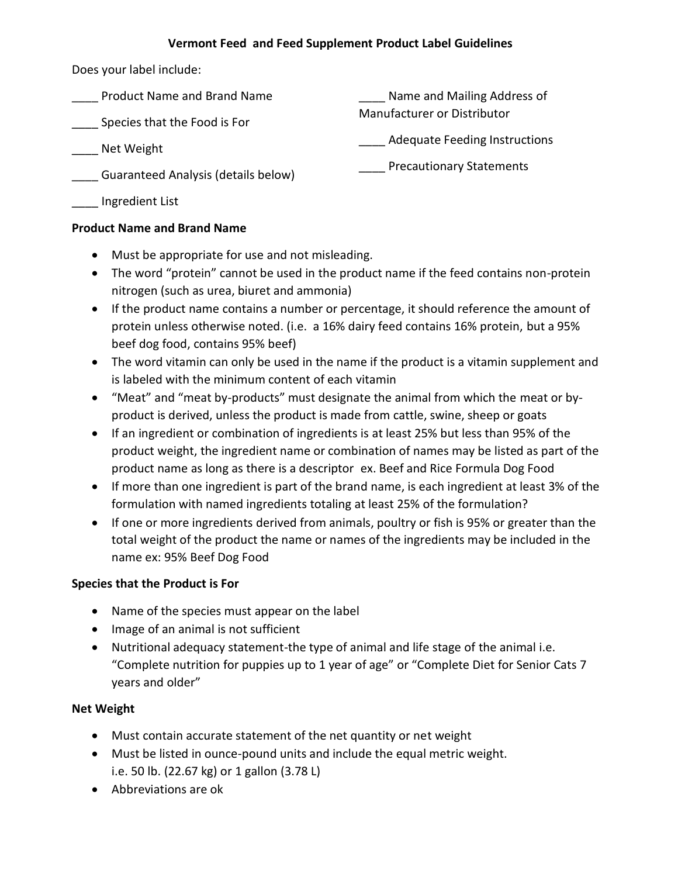## **Vermont Feed and Feed Supplement Product Label Guidelines**

Does your label include:

| <b>Product Name and Brand Name</b>  | Name and Mailing Address of          |
|-------------------------------------|--------------------------------------|
| Species that the Food is For        | <b>Manufacturer or Distributor</b>   |
| Net Weight                          | <b>Adequate Feeding Instructions</b> |
| Guaranteed Analysis (details below) | <b>Precautionary Statements</b>      |

\_\_\_\_ Ingredient List

## **Product Name and Brand Name**

- Must be appropriate for use and not misleading.
- The word "protein" cannot be used in the product name if the feed contains non-protein nitrogen (such as urea, biuret and ammonia)
- If the product name contains a number or percentage, it should reference the amount of protein unless otherwise noted. (i.e. a 16% dairy feed contains 16% protein, but a 95% beef dog food, contains 95% beef)
- The word vitamin can only be used in the name if the product is a vitamin supplement and is labeled with the minimum content of each vitamin
- "Meat" and "meat by-products" must designate the animal from which the meat or byproduct is derived, unless the product is made from cattle, swine, sheep or goats
- If an ingredient or combination of ingredients is at least 25% but less than 95% of the product weight, the ingredient name or combination of names may be listed as part of the product name as long as there is a descriptor ex. Beef and Rice Formula Dog Food
- If more than one ingredient is part of the brand name, is each ingredient at least 3% of the formulation with named ingredients totaling at least 25% of the formulation?
- If one or more ingredients derived from animals, poultry or fish is 95% or greater than the total weight of the product the name or names of the ingredients may be included in the name ex: 95% Beef Dog Food

# **Species that the Product is For**

- Name of the species must appear on the label
- Image of an animal is not sufficient
- Nutritional adequacy statement-the type of animal and life stage of the animal i.e. "Complete nutrition for puppies up to 1 year of age" or "Complete Diet for Senior Cats 7 years and older"

# **Net Weight**

- Must contain accurate statement of the net quantity or net weight
- Must be listed in ounce-pound units and include the equal metric weight. i.e. 50 lb. (22.67 kg) or 1 gallon (3.78 L)
- Abbreviations are ok